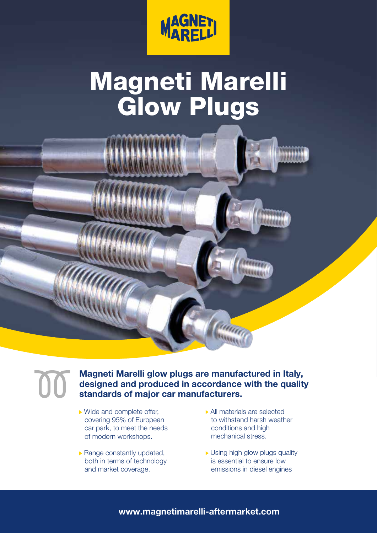

## Magneti Marelli Glow Plugs



## Magneti Marelli glow plugs are manufactured in Italy, designed and produced in accordance with the quality standards of major car manufacturers.

- ▶ Wide and complete offer, covering 95% of European car park, to meet the needs of modern workshops.
- $\triangleright$  Range constantly updated, both in terms of technology and market coverage.
- All materials are selected to withstand harsh weather conditions and high mechanical stress.
- Using high glow plugs quality is essential to ensure low emissions in diesel engines